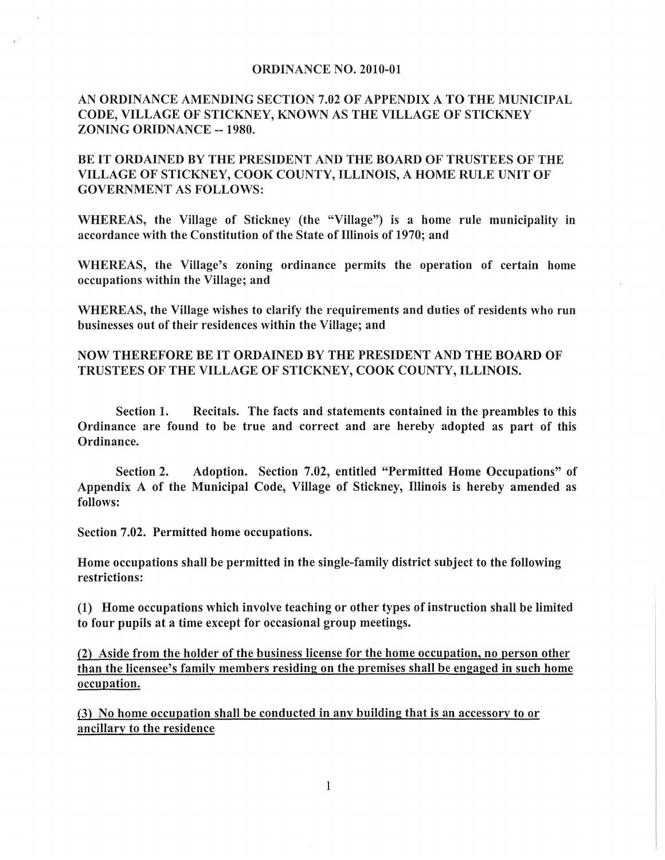## ORDINANCE NO. 2010-01

## AN ORDINANCE AMENDING SECTION 7.02 OF APPENDIX A TO THE MUNICIPAL CODE, VILLAGE OF STICKNEY, KNOWN AS THE VILLAGE OF STICKNEY ZONING ORIDNANCE -- 1980.

## BE IT ORDAINED BY THE PRESIDENT AND THE BOARD OF TRUSTEES OF THE VILLAGE OF STICKNEY, COOK COUNTY, ILLINOIS, A HOME RULE UNIT OF GOVERNMENT AS FOLLOWS:

WHEREAS, the Village of Stickney (the "Village") is a home rule municipality in accordance with the Constitution of the State of Illinois of 1970; and

WHEREAS, the Village's zoning ordinance permits the operation of certain home occupations within the Village; and

WHEREAS, the Village wishes to clarify the requirements and duties of residents who run businesses out of their residences within the Village; and

## NOW THEREFORE BE IT ORDAINED BY THE PRESIDENT AND THE BOARD OF TRUSTEES OF THE VILLAGE OF STICKNEY, COOK COUNTY, ILLINOIS.

Section 1. Recitals. The facts and statements contained in the preambles to this Ordinance are found to be true and correct and are hereby adopted as part of this Ordinance.

Section 2. Adoption. Section 7.02, entitled "Permitted Home Occupations" of Appendix A of the Municipal Code, Village of Stickney, Illinois is hereby amended as follows:

Section 7.02. Permitted home occupations.

Home occupations shall be permitted in the single-family district subject to the following restrictions:

(1) Home occupations which involve teaching or other types of instruction shall be limited to four pupils at a time except for occasional group meetings.

(2) Aside from the holder of the business license for the home occupation, no person other than the licensee's family members residing on the premises shall be engaged in such home occupation.

(3) No home occupation shall be conducted in any building that is an accessory to or ancillary to the residence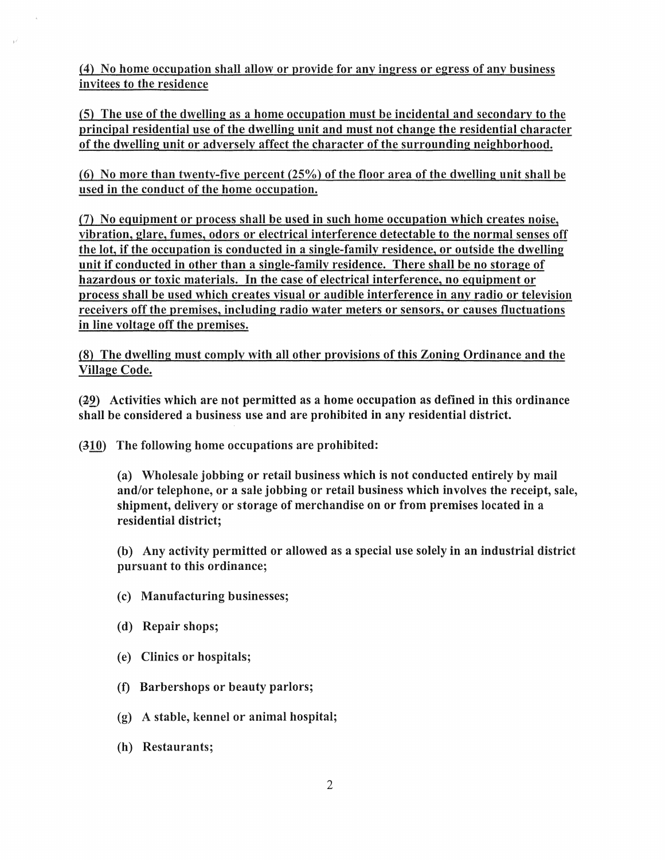(4) No home occupation shaH allow or provide for any ingress or egress of any business invitees to the residence

(5) The use of the dwelling as a home occupation must be incidental and secondary to the principal residential use of the dwelling unit and must not change the residential character of the dwelling unit or adversely affect the character of the surrounding neighborhood.

(6) No more than twenty-five percent (25%) of the floor area of the dwelling unit shall be used in the conduct of the home occupation.

(7) No equipment or process shall be used in such home occupation which creates noise, vibration, glare, fumes, odors or electrical interference detectable to the normal senses off the lot, if the occupation is conducted in a single-family residence, or outside the dwelling unit if conducted in other than a single-family residence. There shall be no storage of hazardous or toxic materials. In the case of electrical interference, no equipment or process shall be used which creates visual or audible interference in any radio or television receivers off the premises, including radio water meters or sensors, or causes fluctuations in line voltage off the premises.

(8) The dwelling must comply with aU other provisions of this Zoning Ordinance and the Village Code.

 $(29)$  Activities which are not permitted as a home occupation as defined in this ordinance shall be considered a business use and are prohibited in any residential district.

(310) The following home occupations are prohibited:

(a) Wholesale jobbing or retail business which is not conducted entirely by mail and/or telephone, or a sale jobbing or retail business which involves the receipt, sale, shipment, delivery or storage of merchandise on or from premises located in a residential district;

(b) Any activity permitted or allowed as a special use solely in an industrial district pursuant to this ordinance;

- (c) Manufacturing businesses;
- (d) Repair shops;
- (e) Clinics or hospitals;
- (f) Barbershops or beauty parlors;
- (g) A stable, kennel or animal hospital;
- (h) Restaurants;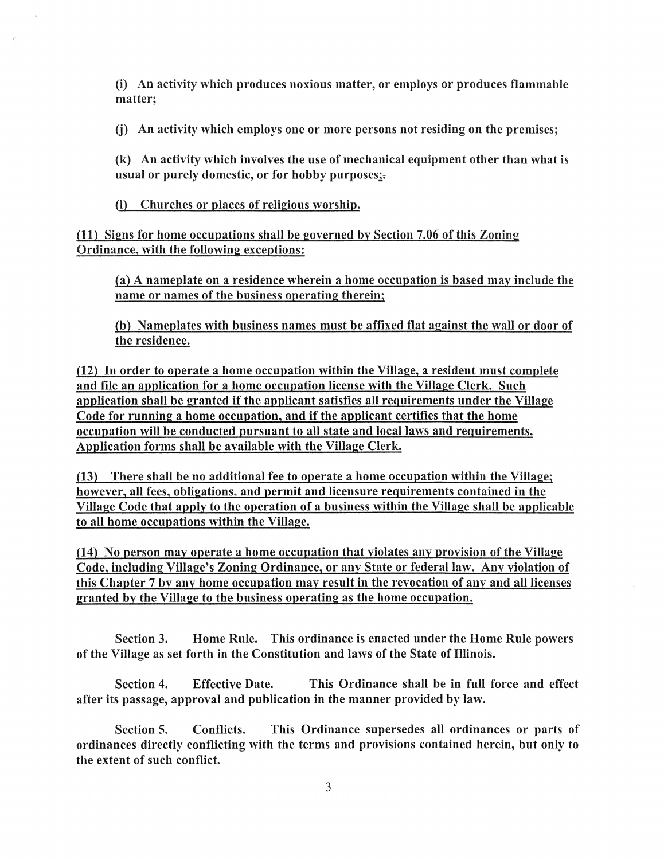(i) An activity which produces noxious matter, or employs or produces flammable matter;

(j) An activity which employs one or more persons not residing on the premises;

(k) An activity which involves the use of mechanical equipment other than what is usual or purely domestic, or for hobby purposes;-

(l) Churches or places of religious worship.

(11) Signs for home occupations shall be governed by Section 7.06 of this Zoning Ordinance, with the following exceptions:

(a) A nameplate on a residence wherein a home occupation is based may include the name or names of the business operating therein;

(b) Nameplates with business names must be affixed flat against the wall or door of the residence.

(12) In order to operate a home occupation within the Village, a resident must complete and file an application for a home occupation license with the Village Clerk. Such application shall be granted if the applicant satisfies all requirements under the Village Code for running a home occupation, and if the applicant certifies that the home occupation will be conducted pursuant to all state and local laws and requirements. Application forms shall be available with the Village Clerk.

(13) There shall be no additional fee to operate a home occupation within the Village; however, all fees, obligations, and permit and licensure requirements contained in the Village Code that apply to the operation of a business within the Village shall be applicable to all home occupations within the Village.

 $(14)$  No person may operate a home occupation that violates any provision of the Village Code, including Village's Zoning Ordinance, or any State or federal law. Any violation of this Chapter 7 by any home occupation may result in the revocation of any and all licenses granted by the Village to the business operating as the home occupation.

Section 3. Home Rule. This ordinance is enacted under the Home Rule powers of the Village as set forth in the Constitution and laws of the State of Illinois.

Section 4. Effective Date. This Ordinance shall be in full force and effect after its passage, approval and publication in the manner provided by law.

Section 5. Conflicts. This Ordinance supersedes all ordinances or parts of ordinances directly conflicting with the terms and provisions contained herein, but only to the extent of such conflict.